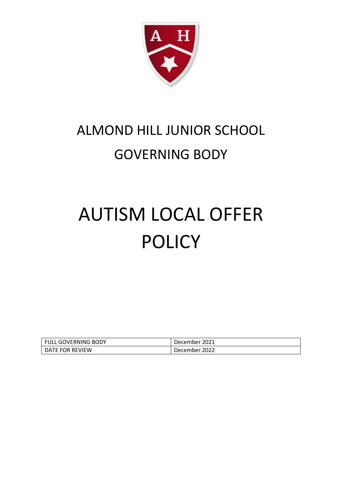

## ALMOND HILL JUNIOR SCHOOL GOVERNING BODY

## AUTISM LOCAL OFFER POLICY

| <b>FULL GOVERNING BODY</b> | December 2021 |
|----------------------------|---------------|
| DATE FOR REVIEW            | December 2022 |